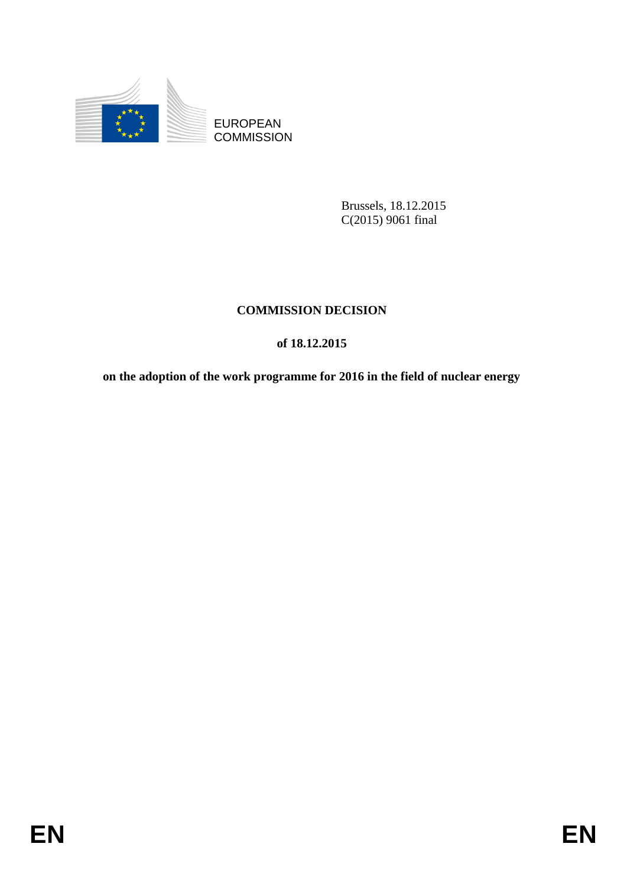

**COMMISSION** 

Brussels, 18.12.2015 C(2015) 9061 final

# **COMMISSION DECISION**

# **of 18.12.2015**

EUROPEAN<br>
EUROPEAN<br>
ENTRE COMMISSION<br>
ENTRE COMMISSION<br>
ENTRE COMMISSION<br>
ENTRE COMMISSION<br>
OF US.12.2015<br>
FOR THE ALL 2015<br>
ON the dial of the vorte programme for 2016 in the field of nuclear energy<br>
FOR<br>
EN **on the adoption of the work programme for 2016 in the field of nuclear energy**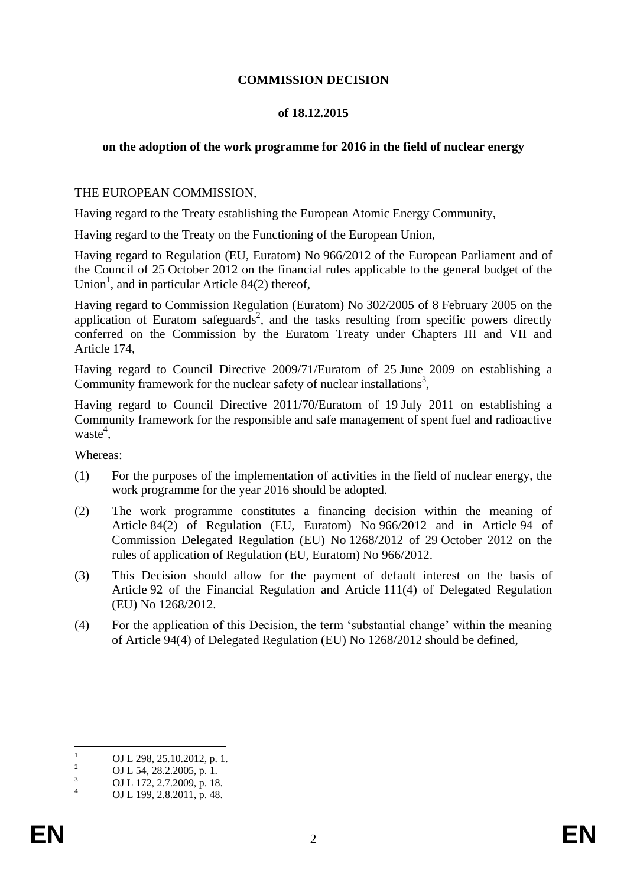### **COMMISSION DECISION**

### **of 18.12.2015**

### **on the adoption of the work programme for 2016 in the field of nuclear energy**

### THE EUROPEAN COMMISSION,

Having regard to the Treaty establishing the European Atomic Energy Community,

Having regard to the Treaty on the Functioning of the European Union,

Having regard to Regulation (EU, Euratom) No 966/2012 of the European Parliament and of the Council of 25 October 2012 on the financial rules applicable to the general budget of the Union<sup>1</sup>, and in particular Article 84(2) thereof,

Having regard to Commission Regulation (Euratom) No 302/2005 of 8 February 2005 on the application of Euratom safeguards<sup>2</sup>, and the tasks resulting from specific powers directly conferred on the Commission by the Euratom Treaty under Chapters III and VII and Article 174,

Having regard to Council Directive 2009/71/Euratom of 25 June 2009 on establishing a Community framework for the nuclear safety of nuclear installations<sup>3</sup>,

Having regard to Council Directive 2011/70/Euratom of 19 July 2011 on establishing a Community framework for the responsible and safe management of spent fuel and radioactive waste<sup>4</sup>,

Whereas:

- (1) For the purposes of the implementation of activities in the field of nuclear energy, the work programme for the year 2016 should be adopted.
- (2) The work programme constitutes a financing decision within the meaning of Article 84(2) of Regulation (EU, Euratom) No 966/2012 and in Article 94 of Commission Delegated Regulation (EU) No 1268/2012 of 29 October 2012 on the rules of application of Regulation (EU, Euratom) No 966/2012.
- (3) This Decision should allow for the payment of default interest on the basis of Article 92 of the Financial Regulation and Article 111(4) of Delegated Regulation (EU) No 1268/2012.
- (4) For the application of this Decision, the term 'substantial change' within the meaning of Article 94(4) of Delegated Regulation (EU) No 1268/2012 should be defined,

 $\mathbf{1}$  $\frac{1}{2}$  OJ L 298, 25.10.2012, p. 1.

<sup>&</sup>lt;sup>2</sup> OJ L 54, 28.2.2005, p. 1.<br>
OJ L 172, 2.7.2000, p. 18

 $\frac{3}{4}$  OJ L 172, 2.7.2009, p. 18.

OJ L 199, 2.8.2011, p. 48.